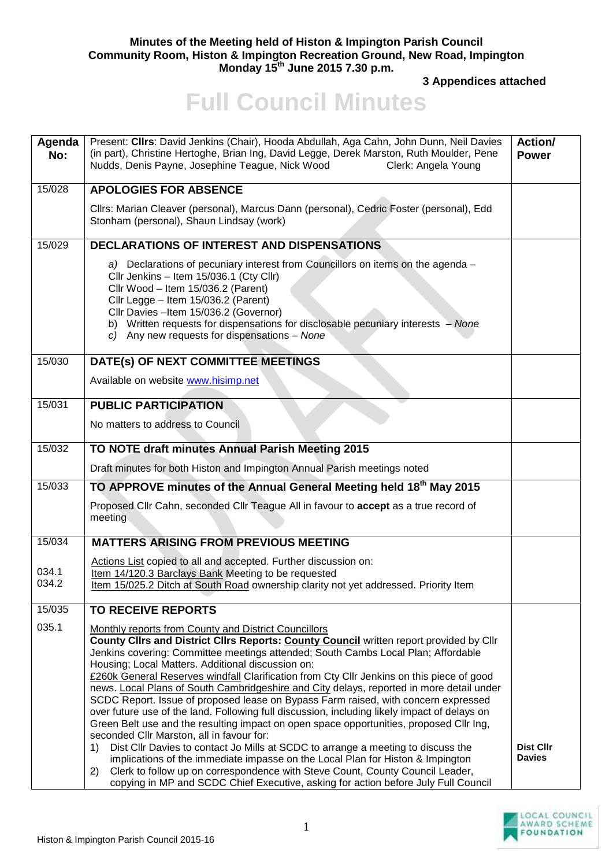## **Minutes of the Meeting held of Histon & Impington Parish Council Community Room, Histon & Impington Recreation Ground, New Road, Impington Monday 15th June 2015 7.30 p.m.**

**3 Appendices attached** 

## **Full Council Minutes**

| Agenda<br>No:  | Present: Cllrs: David Jenkins (Chair), Hooda Abdullah, Aga Cahn, John Dunn, Neil Davies<br>(in part), Christine Hertoghe, Brian Ing, David Legge, Derek Marston, Ruth Moulder, Pene<br>Nudds, Denis Payne, Josephine Teague, Nick Wood<br>Clerk: Angela Young                                                                                                                                                                                                                                                                                                                                                                                                                                                                                                                                                    | Action/<br><b>Power</b>           |
|----------------|------------------------------------------------------------------------------------------------------------------------------------------------------------------------------------------------------------------------------------------------------------------------------------------------------------------------------------------------------------------------------------------------------------------------------------------------------------------------------------------------------------------------------------------------------------------------------------------------------------------------------------------------------------------------------------------------------------------------------------------------------------------------------------------------------------------|-----------------------------------|
| 15/028         | <b>APOLOGIES FOR ABSENCE</b>                                                                                                                                                                                                                                                                                                                                                                                                                                                                                                                                                                                                                                                                                                                                                                                     |                                   |
|                | Cllrs: Marian Cleaver (personal), Marcus Dann (personal), Cedric Foster (personal), Edd<br>Stonham (personal), Shaun Lindsay (work)                                                                                                                                                                                                                                                                                                                                                                                                                                                                                                                                                                                                                                                                              |                                   |
| 15/029         | <b>DECLARATIONS OF INTEREST AND DISPENSATIONS</b>                                                                                                                                                                                                                                                                                                                                                                                                                                                                                                                                                                                                                                                                                                                                                                |                                   |
|                | a) Declarations of pecuniary interest from Councillors on items on the agenda -<br>Cllr Jenkins - Item 15/036.1 (Cty Cllr)<br>Cllr Wood - Item 15/036.2 (Parent)<br>Cllr Legge - Item 15/036.2 (Parent)<br>Cllr Davies -Item 15/036.2 (Governor)<br>b) Written requests for dispensations for disclosable pecuniary interests - None<br>c) Any new requests for dispensations - None                                                                                                                                                                                                                                                                                                                                                                                                                             |                                   |
| 15/030         | DATE(s) OF NEXT COMMITTEE MEETINGS                                                                                                                                                                                                                                                                                                                                                                                                                                                                                                                                                                                                                                                                                                                                                                               |                                   |
|                | Available on website www.hisimp.net                                                                                                                                                                                                                                                                                                                                                                                                                                                                                                                                                                                                                                                                                                                                                                              |                                   |
| 15/031         | <b>PUBLIC PARTICIPATION</b>                                                                                                                                                                                                                                                                                                                                                                                                                                                                                                                                                                                                                                                                                                                                                                                      |                                   |
|                | No matters to address to Council                                                                                                                                                                                                                                                                                                                                                                                                                                                                                                                                                                                                                                                                                                                                                                                 |                                   |
| 15/032         | TO NOTE draft minutes Annual Parish Meeting 2015                                                                                                                                                                                                                                                                                                                                                                                                                                                                                                                                                                                                                                                                                                                                                                 |                                   |
|                | Draft minutes for both Histon and Impington Annual Parish meetings noted                                                                                                                                                                                                                                                                                                                                                                                                                                                                                                                                                                                                                                                                                                                                         |                                   |
| 15/033         | TO APPROVE minutes of the Annual General Meeting held 18 <sup>th</sup> May 2015                                                                                                                                                                                                                                                                                                                                                                                                                                                                                                                                                                                                                                                                                                                                  |                                   |
|                | Proposed Cllr Cahn, seconded Cllr Teague All in favour to accept as a true record of<br>meeting                                                                                                                                                                                                                                                                                                                                                                                                                                                                                                                                                                                                                                                                                                                  |                                   |
| 15/034         | <b>MATTERS ARISING FROM PREVIOUS MEETING</b>                                                                                                                                                                                                                                                                                                                                                                                                                                                                                                                                                                                                                                                                                                                                                                     |                                   |
| 034.1<br>034.2 | Actions List copied to all and accepted. Further discussion on:<br>Item 14/120.3 Barclays Bank Meeting to be requested<br>Item 15/025.2 Ditch at South Road ownership clarity not yet addressed. Priority Item                                                                                                                                                                                                                                                                                                                                                                                                                                                                                                                                                                                                   |                                   |
| 15/035         | <b>TO RECEIVE REPORTS</b>                                                                                                                                                                                                                                                                                                                                                                                                                                                                                                                                                                                                                                                                                                                                                                                        |                                   |
| 035.1          | Monthly reports from County and District Councillors<br>County Clirs and District Clirs Reports: County Council written report provided by Clir<br>Jenkins covering: Committee meetings attended; South Cambs Local Plan; Affordable<br>Housing; Local Matters. Additional discussion on:<br>£260k General Reserves windfall Clarification from Cty Cllr Jenkins on this piece of good<br>news. Local Plans of South Cambridgeshire and City delays, reported in more detail under<br>SCDC Report. Issue of proposed lease on Bypass Farm raised, with concern expressed<br>over future use of the land. Following full discussion, including likely impact of delays on<br>Green Belt use and the resulting impact on open space opportunities, proposed Cllr Ing,<br>seconded Cllr Marston, all in favour for: |                                   |
|                | Dist Cllr Davies to contact Jo Mills at SCDC to arrange a meeting to discuss the<br>1)<br>implications of the immediate impasse on the Local Plan for Histon & Impington<br>Clerk to follow up on correspondence with Steve Count, County Council Leader,<br>2)<br>copying in MP and SCDC Chief Executive, asking for action before July Full Council                                                                                                                                                                                                                                                                                                                                                                                                                                                            | <b>Dist Cllr</b><br><b>Davies</b> |

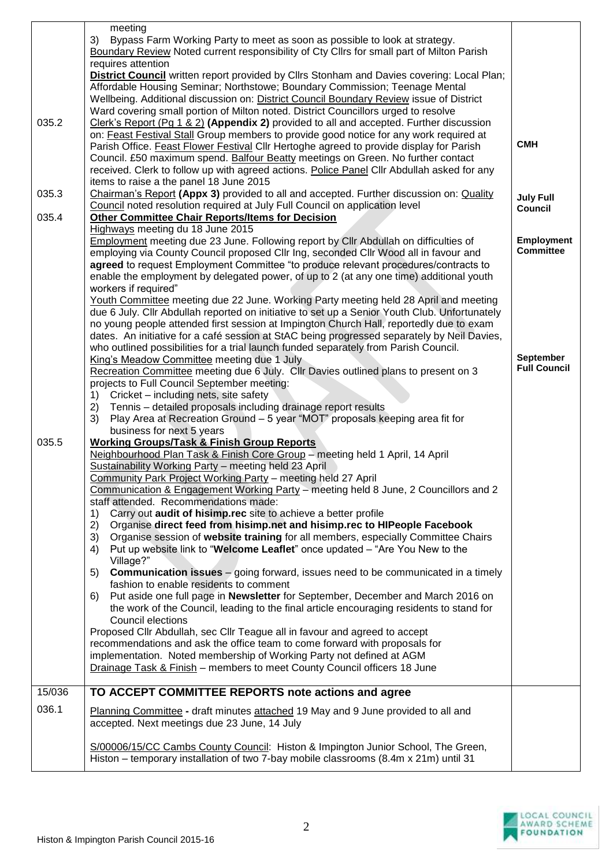|        | meeting<br>3)<br>Bypass Farm Working Party to meet as soon as possible to look at strategy.                                                                                                                                                                                                                                                                                                                                                                                                                           |                                       |
|--------|-----------------------------------------------------------------------------------------------------------------------------------------------------------------------------------------------------------------------------------------------------------------------------------------------------------------------------------------------------------------------------------------------------------------------------------------------------------------------------------------------------------------------|---------------------------------------|
|        | Boundary Review Noted current responsibility of Cty Cllrs for small part of Milton Parish                                                                                                                                                                                                                                                                                                                                                                                                                             |                                       |
|        | requires attention<br>District Council written report provided by Cllrs Stonham and Davies covering: Local Plan;<br>Affordable Housing Seminar; Northstowe; Boundary Commission; Teenage Mental<br>Wellbeing. Additional discussion on: District Council Boundary Review issue of District                                                                                                                                                                                                                            |                                       |
|        | Ward covering small portion of Milton noted. District Councillors urged to resolve                                                                                                                                                                                                                                                                                                                                                                                                                                    |                                       |
| 035.2  | Clerk's Report (Pg 1 & 2) (Appendix 2) provided to all and accepted. Further discussion<br>on: Feast Festival Stall Group members to provide good notice for any work required at<br>Parish Office. Feast Flower Festival Cllr Hertoghe agreed to provide display for Parish<br>Council. £50 maximum spend. Balfour Beatty meetings on Green. No further contact<br>received. Clerk to follow up with agreed actions. Police Panel Cllr Abdullah asked for any                                                        | <b>CMH</b>                            |
|        | items to raise a the panel 18 June 2015                                                                                                                                                                                                                                                                                                                                                                                                                                                                               |                                       |
| 035.3  | Chairman's Report (Appx 3) provided to all and accepted. Further discussion on: Quality<br>Council noted resolution required at July Full Council on application level                                                                                                                                                                                                                                                                                                                                                | <b>July Full</b><br>Council           |
| 035.4  | <b>Other Committee Chair Reports/Items for Decision</b><br>Highways meeting du 18 June 2015                                                                                                                                                                                                                                                                                                                                                                                                                           |                                       |
|        | Employment meeting due 23 June. Following report by Cllr Abdullah on difficulties of<br>employing via County Council proposed Cllr Ing, seconded Cllr Wood all in favour and<br>agreed to request Employment Committee "to produce relevant procedures/contracts to<br>enable the employment by delegated power, of up to 2 (at any one time) additional youth<br>workers if required"                                                                                                                                | <b>Employment</b><br><b>Committee</b> |
|        | Youth Committee meeting due 22 June. Working Party meeting held 28 April and meeting<br>due 6 July. Cllr Abdullah reported on initiative to set up a Senior Youth Club. Unfortunately<br>no young people attended first session at Impington Church Hall, reportedly due to exam<br>dates. An initiative for a café session at StAC being progressed separately by Neil Davies,<br>who outlined possibilities for a trial launch funded separately from Parish Council.<br>King's Meadow Committee meeting due 1 July | <b>September</b>                      |
|        | Recreation Committee meeting due 6 July. Cllr Davies outlined plans to present on 3<br>projects to Full Council September meeting:                                                                                                                                                                                                                                                                                                                                                                                    | <b>Full Council</b>                   |
|        | Cricket - including nets, site safety<br>1)                                                                                                                                                                                                                                                                                                                                                                                                                                                                           |                                       |
|        | Tennis - detailed proposals including drainage report results<br>2)<br>Play Area at Recreation Ground - 5 year "MOT" proposals keeping area fit for<br>3)                                                                                                                                                                                                                                                                                                                                                             |                                       |
| 035.5  | business for next 5 years<br><b>Working Groups/Task &amp; Finish Group Reports</b>                                                                                                                                                                                                                                                                                                                                                                                                                                    |                                       |
|        | Neighbourhood Plan Task & Finish Core Group - meeting held 1 April, 14 April                                                                                                                                                                                                                                                                                                                                                                                                                                          |                                       |
|        | Sustainability Working Party - meeting held 23 April<br>Community Park Project Working Party - meeting held 27 April                                                                                                                                                                                                                                                                                                                                                                                                  |                                       |
|        | Communication & Engagement Working Party - meeting held 8 June, 2 Councillors and 2                                                                                                                                                                                                                                                                                                                                                                                                                                   |                                       |
|        | staff attended. Recommendations made:<br>Carry out audit of hisimp.rec site to achieve a better profile<br>1)                                                                                                                                                                                                                                                                                                                                                                                                         |                                       |
|        | Organise direct feed from hisimp.net and hisimp.rec to HIPeople Facebook<br>2)                                                                                                                                                                                                                                                                                                                                                                                                                                        |                                       |
|        | Organise session of website training for all members, especially Committee Chairs<br>3)<br>Put up website link to "Welcome Leaflet" once updated - "Are You New to the<br>4)                                                                                                                                                                                                                                                                                                                                          |                                       |
|        | Village?"<br><b>Communication issues</b> – going forward, issues need to be communicated in a timely<br>5)                                                                                                                                                                                                                                                                                                                                                                                                            |                                       |
|        | fashion to enable residents to comment                                                                                                                                                                                                                                                                                                                                                                                                                                                                                |                                       |
|        | Put aside one full page in Newsletter for September, December and March 2016 on<br>6)<br>the work of the Council, leading to the final article encouraging residents to stand for                                                                                                                                                                                                                                                                                                                                     |                                       |
|        | Council elections<br>Proposed Cllr Abdullah, sec Cllr Teague all in favour and agreed to accept                                                                                                                                                                                                                                                                                                                                                                                                                       |                                       |
|        | recommendations and ask the office team to come forward with proposals for<br>implementation. Noted membership of Working Party not defined at AGM                                                                                                                                                                                                                                                                                                                                                                    |                                       |
|        | Drainage Task & Finish - members to meet County Council officers 18 June                                                                                                                                                                                                                                                                                                                                                                                                                                              |                                       |
| 15/036 | TO ACCEPT COMMITTEE REPORTS note actions and agree                                                                                                                                                                                                                                                                                                                                                                                                                                                                    |                                       |
| 036.1  | Planning Committee - draft minutes attached 19 May and 9 June provided to all and<br>accepted. Next meetings due 23 June, 14 July                                                                                                                                                                                                                                                                                                                                                                                     |                                       |
|        | S/00006/15/CC Cambs County Council: Histon & Impington Junior School, The Green,<br>Histon - temporary installation of two 7-bay mobile classrooms (8.4m x 21m) until 31                                                                                                                                                                                                                                                                                                                                              |                                       |

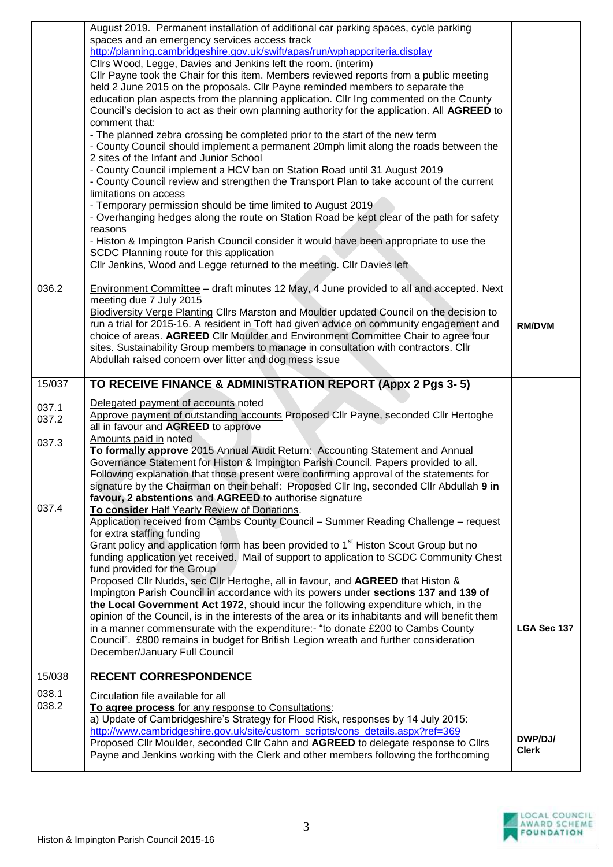|                | August 2019. Permanent installation of additional car parking spaces, cycle parking<br>spaces and an emergency services access track<br>http://planning.cambridgeshire.gov.uk/swift/apas/run/wphappcriteria.display<br>Cllrs Wood, Legge, Davies and Jenkins left the room. (interim)<br>CIIr Payne took the Chair for this item. Members reviewed reports from a public meeting<br>held 2 June 2015 on the proposals. Cllr Payne reminded members to separate the<br>education plan aspects from the planning application. Cllr Ing commented on the County<br>Council's decision to act as their own planning authority for the application. All AGREED to<br>comment that:<br>- The planned zebra crossing be completed prior to the start of the new term<br>- County Council should implement a permanent 20mph limit along the roads between the<br>2 sites of the Infant and Junior School<br>- County Council implement a HCV ban on Station Road until 31 August 2019<br>- County Council review and strengthen the Transport Plan to take account of the current<br>limitations on access<br>- Temporary permission should be time limited to August 2019<br>- Overhanging hedges along the route on Station Road be kept clear of the path for safety<br>reasons<br>- Histon & Impington Parish Council consider it would have been appropriate to use the<br>SCDC Planning route for this application<br>Cllr Jenkins, Wood and Legge returned to the meeting. Cllr Davies left |                         |
|----------------|---------------------------------------------------------------------------------------------------------------------------------------------------------------------------------------------------------------------------------------------------------------------------------------------------------------------------------------------------------------------------------------------------------------------------------------------------------------------------------------------------------------------------------------------------------------------------------------------------------------------------------------------------------------------------------------------------------------------------------------------------------------------------------------------------------------------------------------------------------------------------------------------------------------------------------------------------------------------------------------------------------------------------------------------------------------------------------------------------------------------------------------------------------------------------------------------------------------------------------------------------------------------------------------------------------------------------------------------------------------------------------------------------------------------------------------------------------------------------------------------|-------------------------|
| 036.2          | <b>Environment Committee</b> - draft minutes 12 May, 4 June provided to all and accepted. Next<br>meeting due 7 July 2015<br>Biodiversity Verge Planting Cllrs Marston and Moulder updated Council on the decision to<br>run a trial for 2015-16. A resident in Toft had given advice on community engagement and<br>choice of areas. AGREED Cllr Moulder and Environment Committee Chair to agree four<br>sites. Sustainability Group members to manage in consultation with contractors. Cllr<br>Abdullah raised concern over litter and dog mess issue                                                                                                                                                                                                                                                                                                                                                                                                                                                                                                                                                                                                                                                                                                                                                                                                                                                                                                                                   | <b>RM/DVM</b>           |
| 15/037         | TO RECEIVE FINANCE & ADMINISTRATION REPORT (Appx 2 Pgs 3-5)                                                                                                                                                                                                                                                                                                                                                                                                                                                                                                                                                                                                                                                                                                                                                                                                                                                                                                                                                                                                                                                                                                                                                                                                                                                                                                                                                                                                                                 |                         |
| 037.1<br>037.2 | Delegated payment of accounts noted<br>Approve payment of outstanding accounts Proposed Cllr Payne, seconded Cllr Hertoghe<br>all in favour and AGREED to approve                                                                                                                                                                                                                                                                                                                                                                                                                                                                                                                                                                                                                                                                                                                                                                                                                                                                                                                                                                                                                                                                                                                                                                                                                                                                                                                           |                         |
| 037.3          | Amounts paid in noted<br>To formally approve 2015 Annual Audit Return: Accounting Statement and Annual<br>Governance Statement for Histon & Impington Parish Council. Papers provided to all.<br>Following explanation that those present were confirming approval of the statements for<br>signature by the Chairman on their behalf: Proposed Cllr Ing, seconded Cllr Abdullah 9 in<br>favour, 2 abstentions and AGREED to authorise signature                                                                                                                                                                                                                                                                                                                                                                                                                                                                                                                                                                                                                                                                                                                                                                                                                                                                                                                                                                                                                                            |                         |
| 037.4          | To consider Half Yearly Review of Donations.<br>Application received from Cambs County Council - Summer Reading Challenge - request<br>for extra staffing funding<br>Grant policy and application form has been provided to 1 <sup>st</sup> Histon Scout Group but no<br>funding application yet received. Mail of support to application to SCDC Community Chest<br>fund provided for the Group<br>Proposed Cllr Nudds, sec Cllr Hertoghe, all in favour, and AGREED that Histon &<br>Impington Parish Council in accordance with its powers under sections 137 and 139 of<br>the Local Government Act 1972, should incur the following expenditure which, in the<br>opinion of the Council, is in the interests of the area or its inhabitants and will benefit them<br>in a manner commensurate with the expenditure:- "to donate £200 to Cambs County<br>Council". £800 remains in budget for British Legion wreath and further consideration<br>December/January Full Council                                                                                                                                                                                                                                                                                                                                                                                                                                                                                                          | LGA Sec 137             |
| 15/038         | <b>RECENT CORRESPONDENCE</b>                                                                                                                                                                                                                                                                                                                                                                                                                                                                                                                                                                                                                                                                                                                                                                                                                                                                                                                                                                                                                                                                                                                                                                                                                                                                                                                                                                                                                                                                |                         |
| 038.1<br>038.2 | Circulation file available for all<br>To agree process for any response to Consultations:<br>a) Update of Cambridgeshire's Strategy for Flood Risk, responses by 14 July 2015:<br>http://www.cambridgeshire.gov.uk/site/custom_scripts/cons_details.aspx?ref=369<br>Proposed Cllr Moulder, seconded Cllr Cahn and AGREED to delegate response to Cllrs<br>Payne and Jenkins working with the Clerk and other members following the forthcoming                                                                                                                                                                                                                                                                                                                                                                                                                                                                                                                                                                                                                                                                                                                                                                                                                                                                                                                                                                                                                                              | DWP/DJ/<br><b>Clerk</b> |